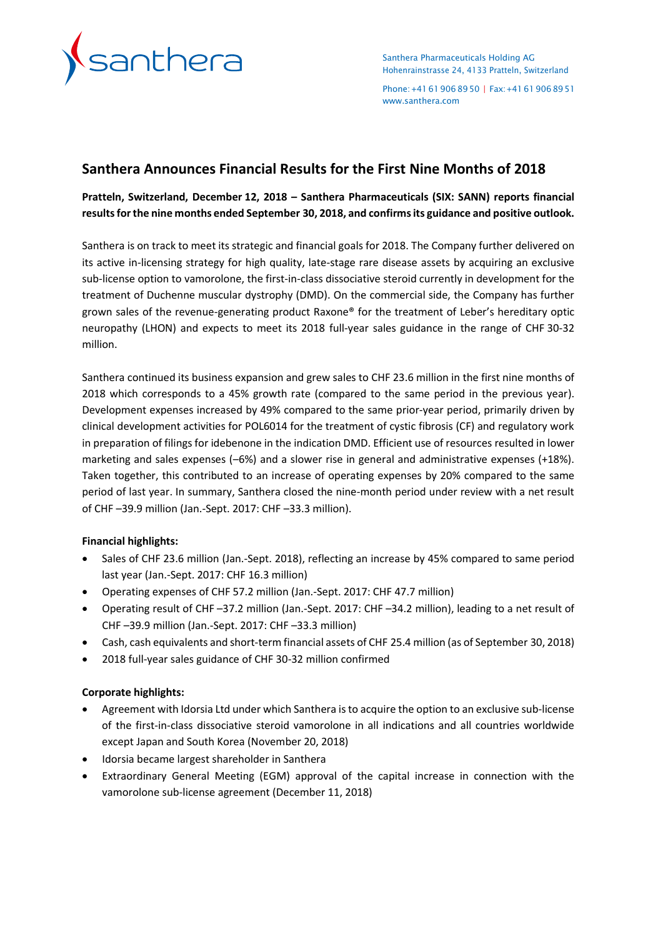

Santhera Pharmaceuticals Holding AG Hohenrainstrasse 24, 4133 Pratteln, Switzerland

Phone:+41619068950 | Fax:+41619068951 [www.santhera.com](http://www.santhera.com/)

# **Santhera Announces Financial Results for the First Nine Months of 2018**

**Pratteln, Switzerland, December 12, 2018 – Santhera Pharmaceuticals (SIX: SANN) reports financial results for the nine months ended September 30, 2018, and confirms its guidance and positive outlook.**

Santhera is on track to meet its strategic and financial goals for 2018. The Company further delivered on its active in-licensing strategy for high quality, late-stage rare disease assets by acquiring an exclusive sub-license option to vamorolone, the first-in-class dissociative steroid currently in development for the treatment of Duchenne muscular dystrophy (DMD). On the commercial side, the Company has further grown sales of the revenue-generating product Raxone® for the treatment of Leber's hereditary optic neuropathy (LHON) and expects to meet its 2018 full-year sales guidance in the range of CHF 30-32 million.

Santhera continued its business expansion and grew sales to CHF 23.6 million in the first nine months of 2018 which corresponds to a 45% growth rate (compared to the same period in the previous year). Development expenses increased by 49% compared to the same prior-year period, primarily driven by clinical development activities for POL6014 for the treatment of cystic fibrosis (CF) and regulatory work in preparation of filings for idebenone in the indication DMD. Efficient use of resources resulted in lower marketing and sales expenses (–6%) and a slower rise in general and administrative expenses (+18%). Taken together, this contributed to an increase of operating expenses by 20% compared to the same period of last year. In summary, Santhera closed the nine-month period under review with a net result of CHF –39.9 million (Jan.-Sept. 2017: CHF –33.3 million).

### **Financial highlights:**

- Sales of CHF 23.6 million (Jan.-Sept. 2018), reflecting an increase by 45% compared to same period last year (Jan.-Sept. 2017: CHF 16.3 million)
- Operating expenses of CHF 57.2 million (Jan.-Sept. 2017: CHF 47.7 million)
- Operating result of CHF –37.2 million (Jan.-Sept. 2017: CHF –34.2 million), leading to a net result of CHF –39.9 million (Jan.-Sept. 2017: CHF –33.3 million)
- Cash, cash equivalents and short-term financial assets of CHF 25.4 million (as of September 30, 2018)
- 2018 full-year sales guidance of CHF 30-32 million confirmed

### **Corporate highlights:**

- Agreement with Idorsia Ltd under which Santhera is to acquire the option to an exclusive sub-license of the first-in-class dissociative steroid vamorolone in all indications and all countries worldwide except Japan and South Korea (November 20, 2018)
- Idorsia became largest shareholder in Santhera
- Extraordinary General Meeting (EGM) approval of the capital increase in connection with the vamorolone sub-license agreement (December 11, 2018)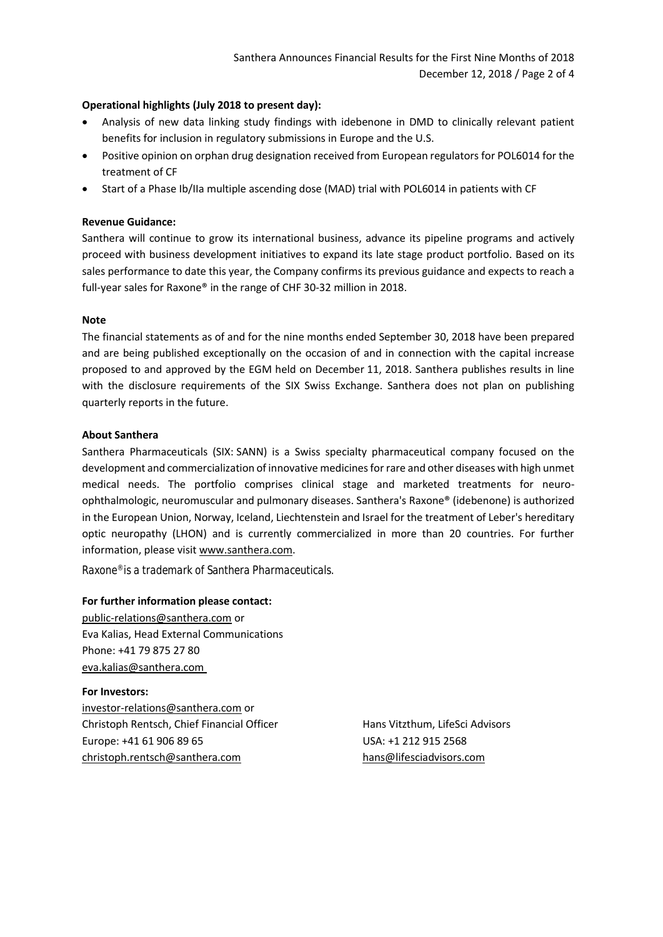# **Operational highlights (July 2018 to present day):**

- Analysis of new data linking study findings with idebenone in DMD to clinically relevant patient benefits for inclusion in regulatory submissions in Europe and the U.S.
- Positive opinion on orphan drug designation received from European regulators for POL6014 for the treatment of CF
- Start of a Phase Ib/IIa multiple ascending dose (MAD) trial with POL6014 in patients with CF

## **Revenue Guidance:**

Santhera will continue to grow its international business, advance its pipeline programs and actively proceed with business development initiatives to expand its late stage product portfolio. Based on its sales performance to date this year, the Company confirms its previous guidance and expects to reach a full-year sales for Raxone® in the range of CHF 30-32 million in 2018.

### **Note**

The financial statements as of and for the nine months ended September 30, 2018 have been prepared and are being published exceptionally on the occasion of and in connection with the capital increase proposed to and approved by the EGM held on December 11, 2018. Santhera publishes results in line with the disclosure requirements of the SIX Swiss Exchange. Santhera does not plan on publishing quarterly reports in the future.

### **About Santhera**

Santhera Pharmaceuticals (SIX: SANN) is a Swiss specialty pharmaceutical company focused on the development and commercialization of innovative medicines for rare and other diseases with high unmet medical needs. The portfolio comprises clinical stage and marketed treatments for neuroophthalmologic, neuromuscular and pulmonary diseases. Santhera's Raxone® (idebenone) is authorized in the European Union, Norway, Iceland, Liechtenstein and Israel for the treatment of Leber's hereditary optic neuropathy (LHON) and is currently commercialized in more than 20 countries. For further information, please visit [www.santhera.com.](http://www.santhera.com/)

*Raxone® is a trademark of Santhera Pharmaceuticals.*

### **For further information please contact:**

[public-relations@santhera.com](mailto:public-relations@anthera.com) or Eva Kalias, Head External Communications Phone: +41 79 875 27 80 eva.kalias@santhera.com

**For Investors:** [investor-relations@santhera.com](mailto:investor-relations@santhera.com) or Christoph Rentsch, Chief Financial Officer Hans Vitzthum, LifeSci Advisors Europe: +41 61 906 89 65 USA: +1 212 915 2568 [christoph.rentsch@santhera.com](mailto:christoph.rentsch@santhera.com) [hans@lifesciadvisors.com](mailto:hans@lifesciadvisors.com)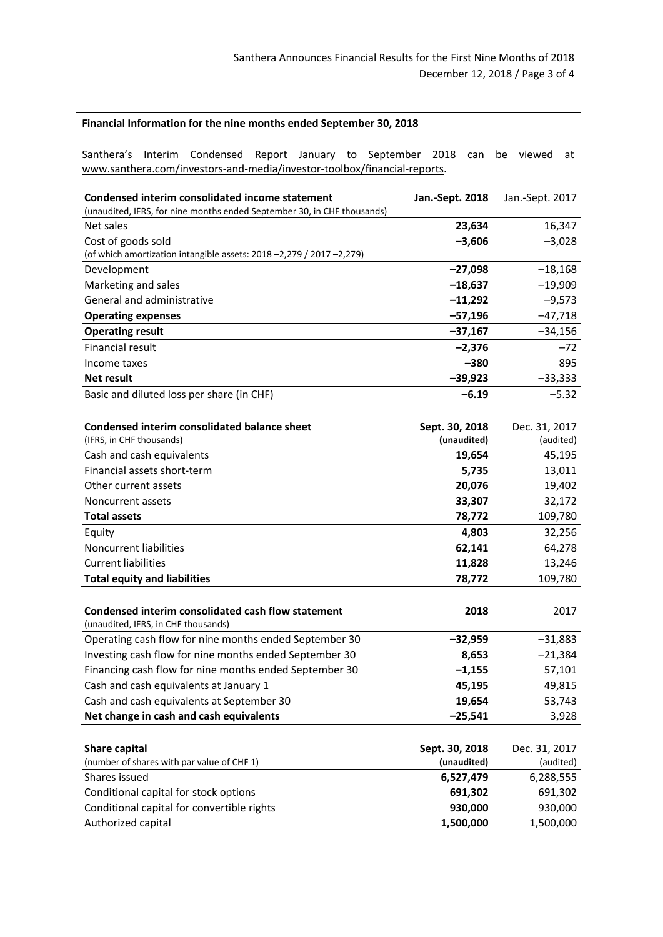#### **Financial Information for the nine months ended September 30, 2018**

Santhera's Interim Condensed Report January to September 2018 can be viewed at [www.santhera.com/investors-and-media/investor-toolbox/financial-reports.](http://www.santhera.com/investors-and-media/investor-toolbox/financial-reports)

| Condensed interim consolidated income statement<br>(unaudited, IFRS, for nine months ended September 30, in CHF thousands) | Jan.-Sept. 2018 | Jan.-Sept. 2017 |
|----------------------------------------------------------------------------------------------------------------------------|-----------------|-----------------|
| Net sales                                                                                                                  | 23,634          | 16,347          |
| Cost of goods sold                                                                                                         | $-3,606$        | $-3,028$        |
| (of which amortization intangible assets: 2018 -2,279 / 2017 -2,279)                                                       |                 |                 |
| Development                                                                                                                | $-27,098$       | $-18,168$       |
| Marketing and sales                                                                                                        | $-18,637$       | $-19,909$       |
| General and administrative                                                                                                 | $-11,292$       | $-9,573$        |
| <b>Operating expenses</b>                                                                                                  | $-57,196$       | $-47,718$       |
| <b>Operating result</b>                                                                                                    | $-37,167$       | $-34,156$       |
| Financial result                                                                                                           | $-2,376$        | $-72$           |
| Income taxes                                                                                                               | $-380$          | 895             |
| <b>Net result</b>                                                                                                          | $-39,923$       | $-33,333$       |
| Basic and diluted loss per share (in CHF)                                                                                  | $-6.19$         | $-5.32$         |
|                                                                                                                            |                 |                 |
| Condensed interim consolidated balance sheet                                                                               | Sept. 30, 2018  | Dec. 31, 2017   |

| <b>Condensed interim consolidated balance sheet</b>    | Sept. 30, 2018 | Dec. 31, 2017 |
|--------------------------------------------------------|----------------|---------------|
| (IFRS, in CHF thousands)                               | (unaudited)    | (audited)     |
| Cash and cash equivalents                              | 19,654         | 45,195        |
| Financial assets short-term                            | 5,735          | 13,011        |
| Other current assets                                   | 20,076         | 19,402        |
| Noncurrent assets                                      | 33,307         | 32,172        |
| <b>Total assets</b>                                    | 78,772         | 109,780       |
| Equity                                                 | 4,803          | 32,256        |
| Noncurrent liabilities                                 | 62,141         | 64,278        |
| <b>Current liabilities</b>                             | 11,828         | 13,246        |
| <b>Total equity and liabilities</b>                    | 78,772         | 109,780       |
|                                                        |                |               |
| Condensed interim consolidated cash flow statement     | 2018           | 2017          |
| (unaudited, IFRS, in CHF thousands)                    |                |               |
| Operating cash flow for nine months ended September 30 | $-32,959$      | $-31,883$     |
| Investing cash flow for nine months ended September 30 | 8,653          | $-21,384$     |
| Financing cash flow for nine months ended September 30 | $-1,155$       | 57,101        |
| Cash and cash equivalents at January 1                 | 45,195         | 49,815        |
| Cash and cash equivalents at September 30              | 19,654         | 53,743        |
| Net change in cash and cash equivalents                | $-25,541$      | 3,928         |
|                                                        |                |               |
| Share capital                                          | Sept. 30, 2018 | Dec. 31, 2017 |
| (number of shares with par value of CHF 1)             | (unaudited)    | (audited)     |
| Shares issued                                          | 6,527,479      | 6,288,555     |

Conditional capital for stock options **691,302** 691,302 Conditional capital for convertible rights **930,000** 930,000 Authorized capital **1,500,000** 1,500,000